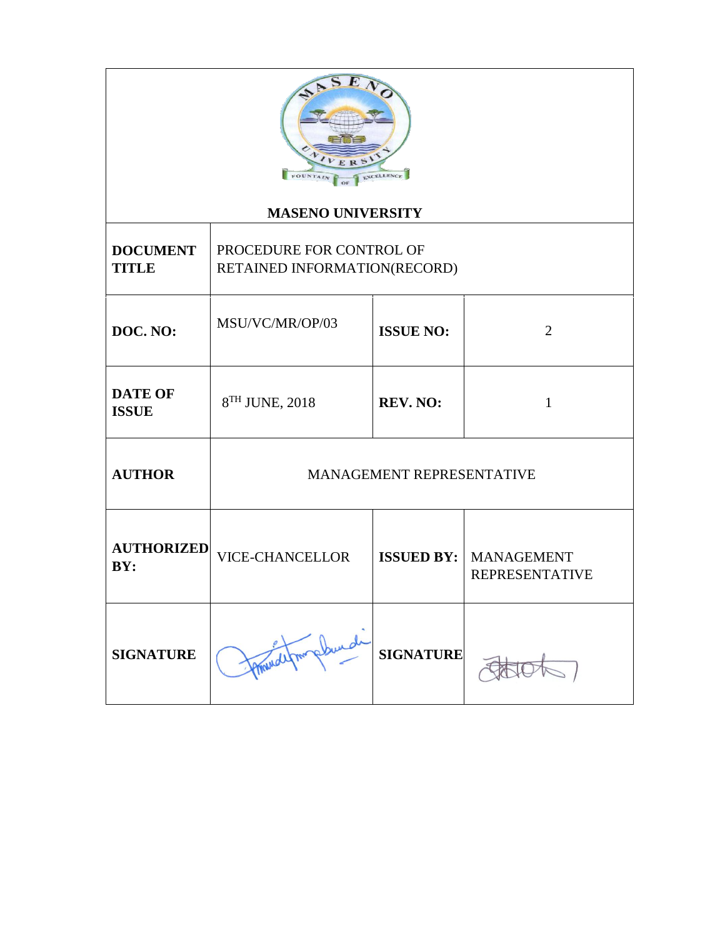| <b>FOUNTAI</b>                                                                                                          |                            |                                    |                                            |  |
|-------------------------------------------------------------------------------------------------------------------------|----------------------------|------------------------------------|--------------------------------------------|--|
| <b>MASENO UNIVERSITY</b><br>PROCEDURE FOR CONTROL OF<br><b>DOCUMENT</b><br><b>TITLE</b><br>RETAINED INFORMATION(RECORD) |                            |                                    |                                            |  |
| DOC. NO:                                                                                                                | MSU/VC/MR/OP/03            | <b>ISSUE NO:</b><br>$\overline{2}$ |                                            |  |
| <b>DATE OF</b><br><b>ISSUE</b>                                                                                          | 8 <sup>TH</sup> JUNE, 2018 | REV. NO:                           | $\mathbf{1}$                               |  |
| <b>AUTHOR</b>                                                                                                           | MANAGEMENT REPRESENTATIVE  |                                    |                                            |  |
| <b>AUTHORIZED</b><br>BY:                                                                                                | <b>VICE-CHANCELLOR</b>     | <b>ISSUED BY:</b>                  | <b>MANAGEMENT</b><br><b>REPRESENTATIVE</b> |  |
| <b>SIGNATURE</b>                                                                                                        |                            | <b>SIGNATURE</b>                   |                                            |  |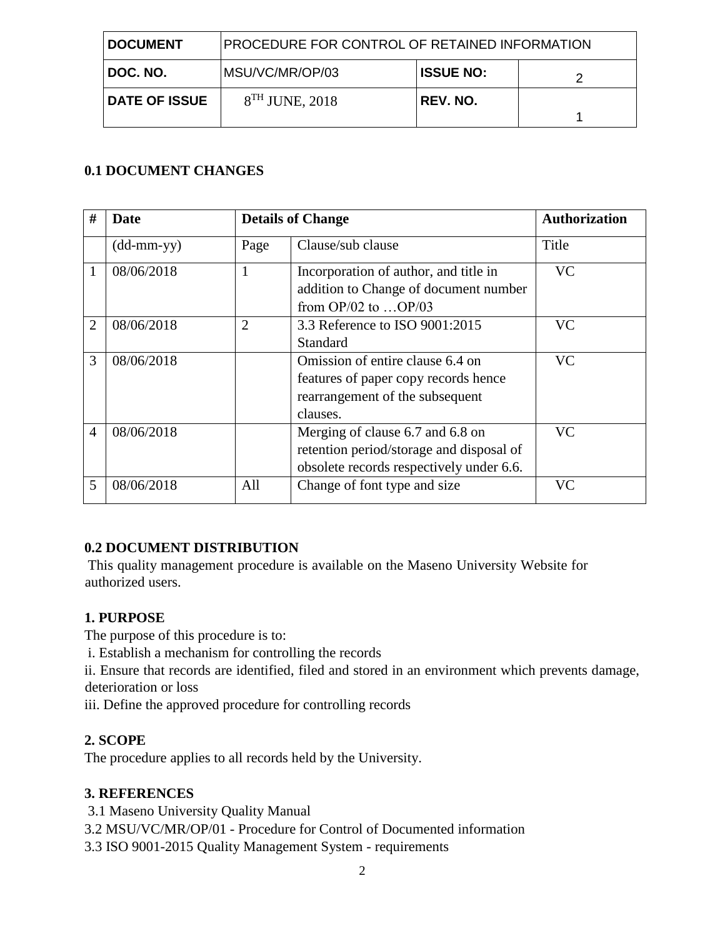| <b>DOCUMENT</b>      | <b>PROCEDURE FOR CONTROL OF RETAINED INFORMATION</b> |                  |  |
|----------------------|------------------------------------------------------|------------------|--|
| DOC. NO.             | MSU/VC/MR/OP/03                                      | <b>ISSUE NO:</b> |  |
| <b>DATE OF ISSUE</b> | $8TH$ JUNE, 2018                                     | REV. NO.         |  |

# **0.1 DOCUMENT CHANGES**

| #              | Date                       | <b>Details of Change</b> |                                                                                                                          | <b>Authorization</b> |
|----------------|----------------------------|--------------------------|--------------------------------------------------------------------------------------------------------------------------|----------------------|
|                | $(dd\text{-}mm\text{-}yy)$ | Page                     | Clause/sub clause                                                                                                        | Title                |
|                | 08/06/2018                 | $\mathbf{1}$             | Incorporation of author, and title in<br>addition to Change of document number<br>from $OP/02$ to $OP/03$                | <b>VC</b>            |
| $\overline{2}$ | 08/06/2018                 | $\overline{2}$           | 3.3 Reference to ISO 9001:2015<br><b>Standard</b>                                                                        | <b>VC</b>            |
| 3              | 08/06/2018                 |                          | Omission of entire clause 6.4 on<br>features of paper copy records hence<br>rearrangement of the subsequent<br>clauses.  | <b>VC</b>            |
| 4              | 08/06/2018                 |                          | Merging of clause 6.7 and 6.8 on<br>retention period/storage and disposal of<br>obsolete records respectively under 6.6. | <b>VC</b>            |
| 5              | 08/06/2018                 | All                      | Change of font type and size                                                                                             | VC                   |

## **0.2 DOCUMENT DISTRIBUTION**

This quality management procedure is available on the Maseno University Website for authorized users.

#### **1. PURPOSE**

The purpose of this procedure is to:

i. Establish a mechanism for controlling the records

ii. Ensure that records are identified, filed and stored in an environment which prevents damage, deterioration or loss

iii. Define the approved procedure for controlling records

## **2. SCOPE**

The procedure applies to all records held by the University.

#### **3. REFERENCES**

- 3.1 Maseno University Quality Manual
- 3.2 MSU/VC/MR/OP/01 Procedure for Control of Documented information

3.3 ISO 9001-2015 Quality Management System - requirements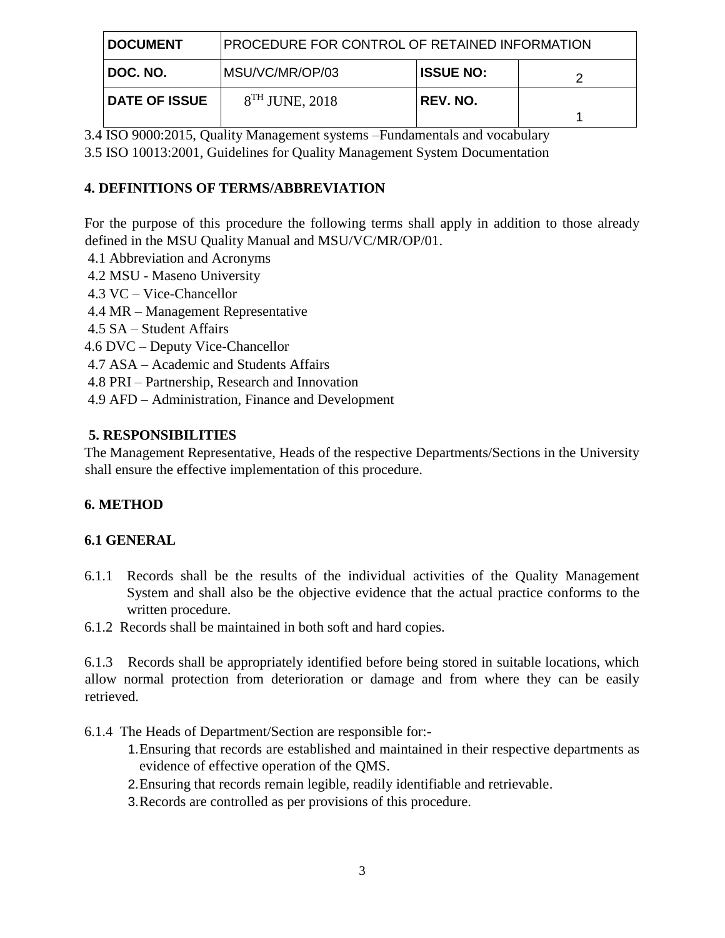| <b>DOCUMENT</b>      | <b>PROCEDURE FOR CONTROL OF RETAINED INFORMATION</b> |                  |  |
|----------------------|------------------------------------------------------|------------------|--|
| DOC. NO.             | MSU/VC/MR/OP/03                                      | <b>ISSUE NO:</b> |  |
| <b>DATE OF ISSUE</b> | $8TH$ JUNE, 2018                                     | REV. NO.         |  |

3.4 ISO 9000:2015, Quality Management systems –Fundamentals and vocabulary

3.5 ISO 10013:2001, Guidelines for Quality Management System Documentation

### **4. DEFINITIONS OF TERMS/ABBREVIATION**

For the purpose of this procedure the following terms shall apply in addition to those already defined in the MSU Quality Manual and MSU/VC/MR/OP/01.

- 4.1 Abbreviation and Acronyms
- 4.2 MSU Maseno University
- 4.3 VC Vice-Chancellor
- 4.4 MR Management Representative
- 4.5 SA Student Affairs
- 4.6 DVC Deputy Vice-Chancellor
- 4.7 ASA Academic and Students Affairs
- 4.8 PRI Partnership, Research and Innovation
- 4.9 AFD Administration, Finance and Development

### **5. RESPONSIBILITIES**

The Management Representative, Heads of the respective Departments/Sections in the University shall ensure the effective implementation of this procedure.

## **6. METHOD**

#### **6.1 GENERAL**

- 6.1.1 Records shall be the results of the individual activities of the Quality Management System and shall also be the objective evidence that the actual practice conforms to the written procedure.
- 6.1.2 Records shall be maintained in both soft and hard copies.

6.1.3 Records shall be appropriately identified before being stored in suitable locations, which allow normal protection from deterioration or damage and from where they can be easily retrieved.

6.1.4 The Heads of Department/Section are responsible for:-

- 1.Ensuring that records are established and maintained in their respective departments as evidence of effective operation of the QMS.
- 2.Ensuring that records remain legible, readily identifiable and retrievable.
- 3.Records are controlled as per provisions of this procedure.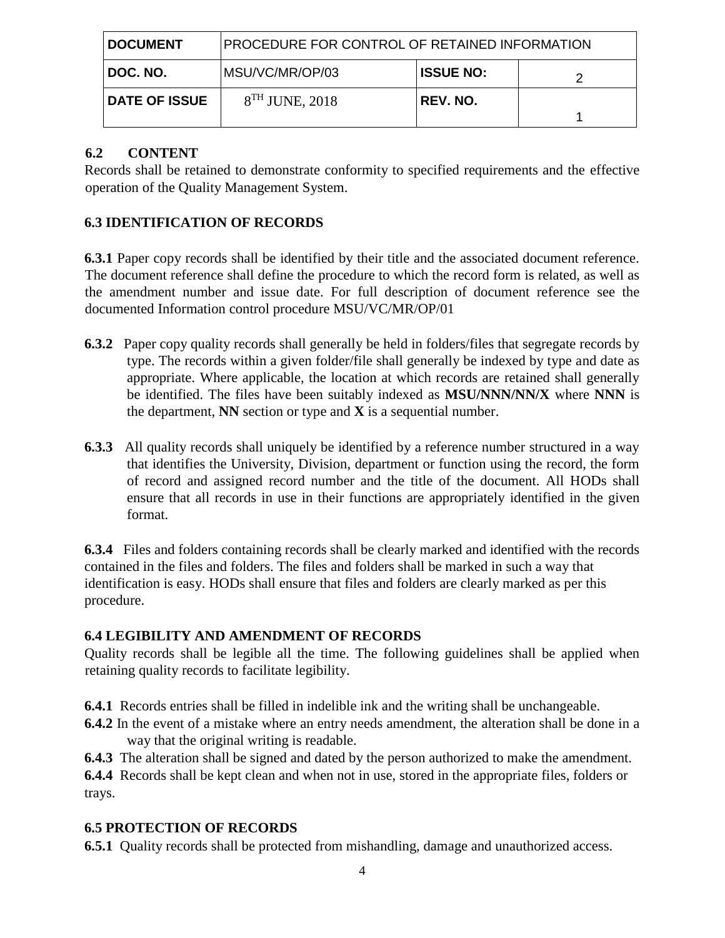| <b>DOCUMENT</b>      | PROCEDURE FOR CONTROL OF RETAINED INFORMATION |                  |  |
|----------------------|-----------------------------------------------|------------------|--|
| DOC. NO.             | MSU/VC/MR/OP/03                               | <b>ISSUE NO:</b> |  |
| <b>DATE OF ISSUE</b> | $8TH$ JUNE, 2018                              | REV. NO.         |  |

## **6.2 CONTENT**

Records shall be retained to demonstrate conformity to specified requirements and the effective operation of the Quality Management System.

# **6.3 IDENTIFICATION OF RECORDS**

**6.3.1** Paper copy records shall be identified by their title and the associated document reference. The document reference shall define the procedure to which the record form is related, as well as the amendment number and issue date. For full description of document reference see the documented Information control procedure MSU/VC/MR/OP/01

- **6.3.2** Paper copy quality records shall generally be held in folders/files that segregate records by type. The records within a given folder/file shall generally be indexed by type and date as appropriate. Where applicable, the location at which records are retained shall generally be identified. The files have been suitably indexed as **MSU/NNN/NN/X** where **NNN** is the department, **NN** section or type and **X** is a sequential number.
- **6.3.3** All quality records shall uniquely be identified by a reference number structured in a way that identifies the University, Division, department or function using the record, the form of record and assigned record number and the title of the document. All HODs shall ensure that all records in use in their functions are appropriately identified in the given format.

**6.3.4** Files and folders containing records shall be clearly marked and identified with the records contained in the files and folders. The files and folders shall be marked in such a way that identification is easy. HODs shall ensure that files and folders are clearly marked as per this procedure.

#### **6.4 LEGIBILITY AND AMENDMENT OF RECORDS**

Quality records shall be legible all the time. The following guidelines shall be applied when retaining quality records to facilitate legibility.

- **6.4.1** Records entries shall be filled in indelible ink and the writing shall be unchangeable.
- **6.4.2** In the event of a mistake where an entry needs amendment, the alteration shall be done in a way that the original writing is readable.
- **6.4.3** The alteration shall be signed and dated by the person authorized to make the amendment.

**6.4.4** Records shall be kept clean and when not in use, stored in the appropriate files, folders or trays.

## **6.5 PROTECTION OF RECORDS**

**6.5.1** Quality records shall be protected from mishandling, damage and unauthorized access.